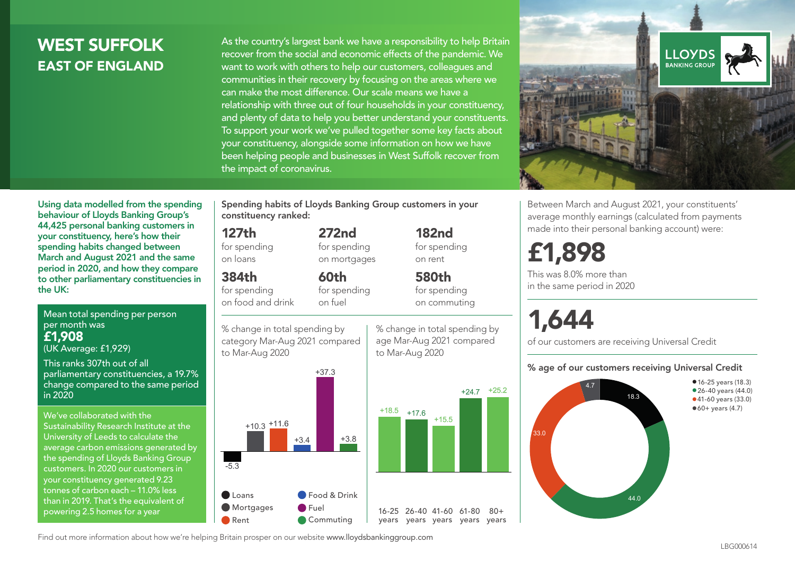## WEST SUFFOLK EAST OF ENGLAND

As the country's largest bank we have a responsibility to help Britain recover from the social and economic effects of the pandemic. We want to work with others to help our customers, colleagues and communities in their recovery by focusing on the areas where we can make the most difference. Our scale means we have a relationship with three out of four households in your constituency, and plenty of data to help you better understand your constituents. To support your work we've pulled together some key facts about your constituency, alongside some information on how we have been helping people and businesses in West Suffolk recover from the impact of coronavirus.



Between March and August 2021, your constituents' average monthly earnings (calculated from payments made into their personal banking account) were:

## £1,898

This was 8.0% more than in the same period in 2020

# 1,644

of our customers are receiving Universal Credit

#### % age of our customers receiving Universal Credit



Using data modelled from the spending behaviour of Lloyds Banking Group's 44,425 personal banking customers in your constituency, here's how their spending habits changed between March and August 2021 and the same period in 2020, and how they compare to other parliamentary constituencies in the UK:

Mean total spending per person per month was £1,908

(UK Average: £1,929)

This ranks 307th out of all parliamentary constituencies, a 19.7% change compared to the same period in 2020

We've collaborated with the Sustainability Research Institute at the University of Leeds to calculate the average carbon emissions generated by the spending of Lloyds Banking Group customers. In 2020 our customers in your constituency generated 9.23 tonnes of carbon each – 11.0% less than in 2019. That's the equivalent of powering 2.5 homes for a year

Spending habits of Lloyds Banking Group customers in your constituency ranked:

> 272nd for spending on mortgages

60th for spending on fuel

#### 127th

for spending on loans

384th

for spending on food and drink

% change in total spending by category Mar-Aug 2021 compared to Mar-Aug 2020



182nd for spending on rent

% change in total spending by age Mar-Aug 2021 compared

580th for spending on commuting

 $80+$ 

 $+24.7$   $+25.2$ to Mar-Aug 2020

Find out more information about how we're helping Britain prosper on our website www.lloydsbankinggroup.com